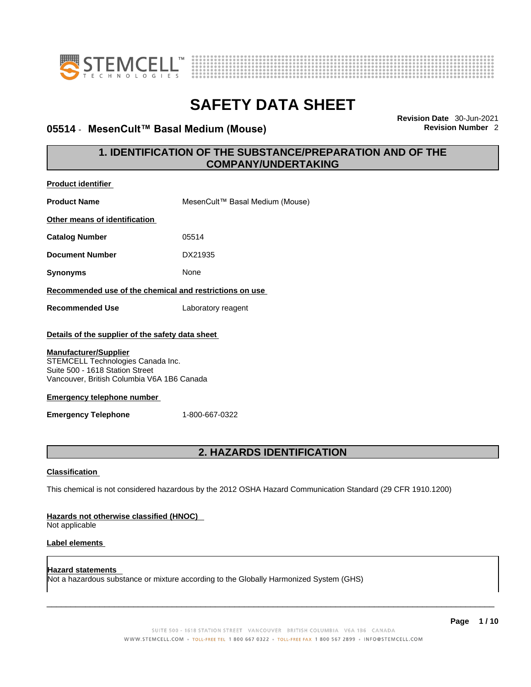



### **05514 · MesenCult™ Basal Medium (Mouse)**

**Revision Date** 30-Jun-2021

### **1. IDENTIFICATION OF THE SUBSTANCE/PREPARATION AND OF THE COMPANY/UNDERTAKING**

| <b>Product identifier</b>                                                                                                                                                               |                                                                                                             |
|-----------------------------------------------------------------------------------------------------------------------------------------------------------------------------------------|-------------------------------------------------------------------------------------------------------------|
| <b>Product Name</b>                                                                                                                                                                     | MesenCult™ Basal Medium (Mouse)                                                                             |
| Other means of identification                                                                                                                                                           |                                                                                                             |
| <b>Catalog Number</b>                                                                                                                                                                   | 05514                                                                                                       |
| <b>Document Number</b>                                                                                                                                                                  | DX21935                                                                                                     |
| <b>Synonyms</b>                                                                                                                                                                         | None                                                                                                        |
| Recommended use of the chemical and restrictions on use                                                                                                                                 |                                                                                                             |
| <b>Recommended Use</b>                                                                                                                                                                  | Laboratory reagent                                                                                          |
| Details of the supplier of the safety data sheet                                                                                                                                        |                                                                                                             |
| <b>Manufacturer/Supplier</b><br>STEMCELL Technologies Canada Inc.<br>Suite 500 - 1618 Station Street<br>Vancouver, British Columbia V6A 1B6 Canada<br><b>Emergency telephone number</b> |                                                                                                             |
| <b>Emergency Telephone</b>                                                                                                                                                              | 1-800-667-0322                                                                                              |
|                                                                                                                                                                                         |                                                                                                             |
|                                                                                                                                                                                         | <b>2. HAZARDS IDENTIFICATION</b>                                                                            |
| <b>Classification</b>                                                                                                                                                                   |                                                                                                             |
|                                                                                                                                                                                         | This chemical is not considered hazardous by the 2012 OSHA Hazard Communication Standard (29 CFR 1910.1200) |
| Hazards not otherwise classified (HNOC)<br>Not applicable                                                                                                                               |                                                                                                             |
| Label elements                                                                                                                                                                          |                                                                                                             |
| <b>Hazard statements</b>                                                                                                                                                                | Not a hazardous substance or mixture according to the Globally Harmonized System (GHS)                      |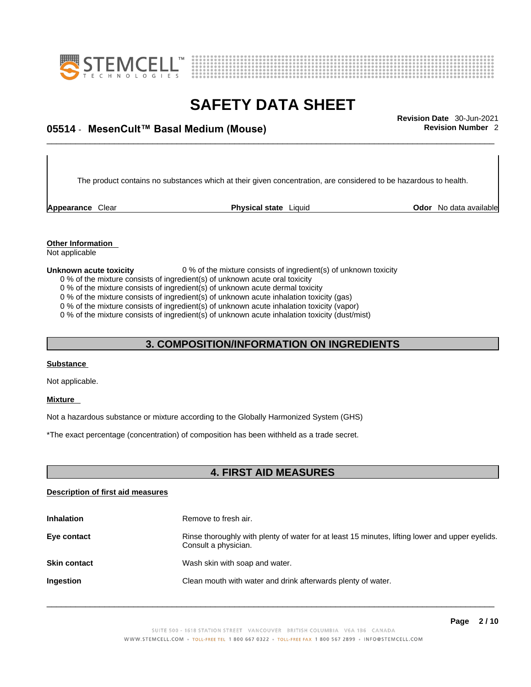



# \_\_\_\_\_\_\_\_\_\_\_\_\_\_\_\_\_\_\_\_\_\_\_\_\_\_\_\_\_\_\_\_\_\_\_\_\_\_\_\_\_\_\_\_\_\_\_\_\_\_\_\_\_\_\_\_\_\_\_\_\_\_\_\_\_\_\_\_\_\_\_\_\_\_\_\_\_\_\_\_\_\_\_\_\_\_\_\_\_\_\_\_\_ **Revision Date** 30-Jun-2021 **05514** - **MesenCult™ Basal Medium (Mouse) Revision Number** 2

The product contains no substances which at their given concentration, are considered to be hazardous to health.

**Appearance** Clear **Physical state** Liquid

**Odor** No data available

**Other Information**  Not applicable

#### **Unknown acute toxicity** 0 % of the mixture consists of ingredient(s) of unknown toxicity

- 0 % of the mixture consists of ingredient(s) of unknown acute oral toxicity
- 0 % of the mixture consists of ingredient(s) of unknown acute dermal toxicity

0 % of the mixture consists of ingredient(s) of unknown acute inhalation toxicity (gas)

0 % of the mixture consists of ingredient(s) of unknown acute inhalation toxicity (vapor)

0 % of the mixture consists of ingredient(s) of unknown acute inhalation toxicity (dust/mist)

### **3. COMPOSITION/INFORMATION ON INGREDIENTS**

#### **Substance**

Not applicable.

#### **Mixture**

Not a hazardous substance or mixture according to the Globally Harmonized System (GHS)

\*The exact percentage (concentration) of composition has been withheld as a trade secret.

### **4. FIRST AID MEASURES**

### **Description of first aid measures**

| <b>Inhalation</b>   | Remove to fresh air.                                                                                                    |
|---------------------|-------------------------------------------------------------------------------------------------------------------------|
| Eye contact         | Rinse thoroughly with plenty of water for at least 15 minutes, lifting lower and upper eyelids.<br>Consult a physician. |
| <b>Skin contact</b> | Wash skin with soap and water.                                                                                          |
| Ingestion           | Clean mouth with water and drink afterwards plenty of water.                                                            |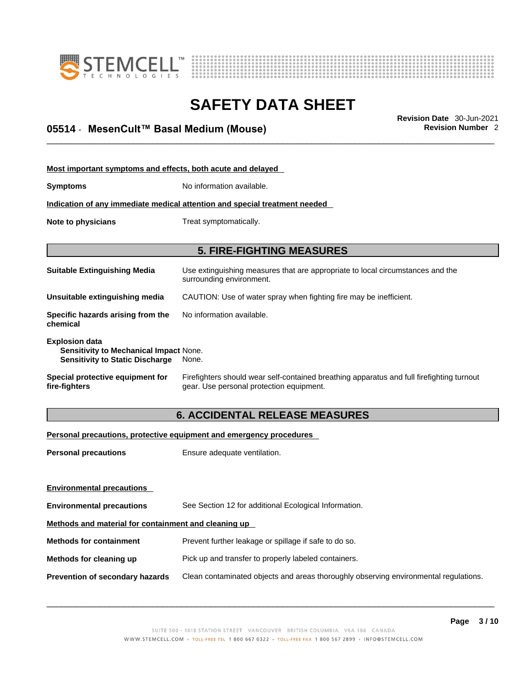



# \_\_\_\_\_\_\_\_\_\_\_\_\_\_\_\_\_\_\_\_\_\_\_\_\_\_\_\_\_\_\_\_\_\_\_\_\_\_\_\_\_\_\_\_\_\_\_\_\_\_\_\_\_\_\_\_\_\_\_\_\_\_\_\_\_\_\_\_\_\_\_\_\_\_\_\_\_\_\_\_\_\_\_\_\_\_\_\_\_\_\_\_\_ **Revision Date** 30-Jun-2021 **05514** - **MesenCult™ Basal Medium (Mouse) Revision Number** 2

| Most important symptoms and effects, both acute and delayed                                                      |                                                                                                                                       |  |
|------------------------------------------------------------------------------------------------------------------|---------------------------------------------------------------------------------------------------------------------------------------|--|
| Symptoms                                                                                                         | No information available.                                                                                                             |  |
|                                                                                                                  | Indication of any immediate medical attention and special treatment needed                                                            |  |
| Note to physicians                                                                                               | Treat symptomatically.                                                                                                                |  |
|                                                                                                                  |                                                                                                                                       |  |
|                                                                                                                  | <b>5. FIRE-FIGHTING MEASURES</b>                                                                                                      |  |
| Suitable Extinguishing Media                                                                                     | Use extinguishing measures that are appropriate to local circumstances and the<br>surrounding environment.                            |  |
| Unsuitable extinguishing media                                                                                   | CAUTION: Use of water spray when fighting fire may be inefficient.                                                                    |  |
| Specific hazards arising from the<br>chemical                                                                    | No information available.                                                                                                             |  |
| <b>Explosion data</b><br><b>Sensitivity to Mechanical Impact None.</b><br><b>Sensitivity to Static Discharge</b> | None.                                                                                                                                 |  |
| Special protective equipment for<br>fire-fighters                                                                | Firefighters should wear self-contained breathing apparatus and full firefighting turnout<br>gear. Use personal protection equipment. |  |

### **6. ACCIDENTAL RELEASE MEASURES**

### **Personal precautions, protective equipment and emergency procedures**

| <b>Personal precautions</b>                          | Ensure adequate ventilation.                                                         |  |
|------------------------------------------------------|--------------------------------------------------------------------------------------|--|
| <b>Environmental precautions</b>                     |                                                                                      |  |
| <b>Environmental precautions</b>                     | See Section 12 for additional Ecological Information.                                |  |
| Methods and material for containment and cleaning up |                                                                                      |  |
| <b>Methods for containment</b>                       | Prevent further leakage or spillage if safe to do so.                                |  |
| Methods for cleaning up                              | Pick up and transfer to properly labeled containers.                                 |  |
| Prevention of secondary hazards                      | Clean contaminated objects and areas thoroughly observing environmental regulations. |  |
|                                                      |                                                                                      |  |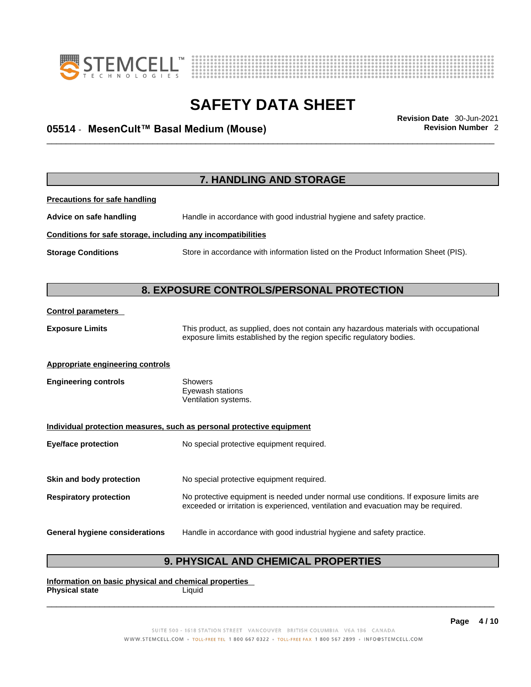



# \_\_\_\_\_\_\_\_\_\_\_\_\_\_\_\_\_\_\_\_\_\_\_\_\_\_\_\_\_\_\_\_\_\_\_\_\_\_\_\_\_\_\_\_\_\_\_\_\_\_\_\_\_\_\_\_\_\_\_\_\_\_\_\_\_\_\_\_\_\_\_\_\_\_\_\_\_\_\_\_\_\_\_\_\_\_\_\_\_\_\_\_\_ **Revision Date** 30-Jun-2021 **05514** - **MesenCult™ Basal Medium (Mouse) Revision Number** 2

|                                                              | 7. HANDLING AND STORAGE                                                                                                                                                     |
|--------------------------------------------------------------|-----------------------------------------------------------------------------------------------------------------------------------------------------------------------------|
| <b>Precautions for safe handling</b>                         |                                                                                                                                                                             |
| Advice on safe handling                                      | Handle in accordance with good industrial hygiene and safety practice.                                                                                                      |
| Conditions for safe storage, including any incompatibilities |                                                                                                                                                                             |
| <b>Storage Conditions</b>                                    | Store in accordance with information listed on the Product Information Sheet (PIS).                                                                                         |
|                                                              |                                                                                                                                                                             |
|                                                              | 8. EXPOSURE CONTROLS/PERSONAL PROTECTION                                                                                                                                    |
| <b>Control parameters</b>                                    |                                                                                                                                                                             |
| <b>Exposure Limits</b>                                       | This product, as supplied, does not contain any hazardous materials with occupational<br>exposure limits established by the region specific regulatory bodies.              |
| <b>Appropriate engineering controls</b>                      |                                                                                                                                                                             |
| <b>Engineering controls</b>                                  | <b>Showers</b><br>Eyewash stations<br>Ventilation systems.                                                                                                                  |
|                                                              | Individual protection measures, such as personal protective equipment                                                                                                       |
| <b>Eye/face protection</b>                                   | No special protective equipment required.                                                                                                                                   |
| Skin and body protection                                     | No special protective equipment required.                                                                                                                                   |
| <b>Respiratory protection</b>                                | No protective equipment is needed under normal use conditions. If exposure limits are<br>exceeded or irritation is experienced, ventilation and evacuation may be required. |
| <b>General hygiene considerations</b>                        | Handle in accordance with good industrial hygiene and safety practice.                                                                                                      |

### **9. PHYSICAL AND CHEMICAL PROPERTIES**

**Information on basic physical and chemical properties Physical state** Liquid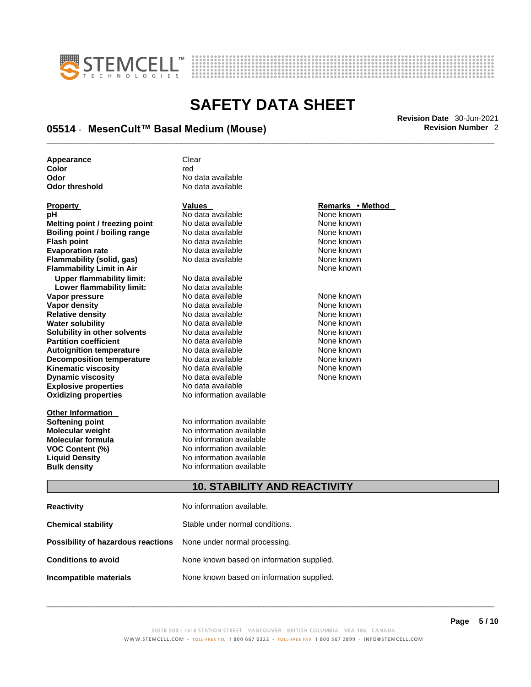



# \_\_\_\_\_\_\_\_\_\_\_\_\_\_\_\_\_\_\_\_\_\_\_\_\_\_\_\_\_\_\_\_\_\_\_\_\_\_\_\_\_\_\_\_\_\_\_\_\_\_\_\_\_\_\_\_\_\_\_\_\_\_\_\_\_\_\_\_\_\_\_\_\_\_\_\_\_\_\_\_\_\_\_\_\_\_\_\_\_\_\_\_\_ **Revision Date** 30-Jun-2021 **05514** - **MesenCult™ Basal Medium (Mouse) Revision Number** 2

| Appearance     | Clear             |
|----------------|-------------------|
| Color          | red               |
| Odor           | No data available |
| Odor threshold | No data available |

| <b>FIUDEILY</b>                  |
|----------------------------------|
| рH                               |
| Melting point / freezing point   |
| Boiling point / boiling range    |
| <b>Flash point</b>               |
| <b>Evaporation rate</b>          |
| Flammability (solid, gas)        |
| <b>Flammability Limit in Air</b> |
| <b>Upper flammability limit:</b> |
| Lower flammability limit:        |
| Vapor pressure                   |
| <b>Vapor density</b>             |
| <b>Relative density</b>          |
| <b>Water solubility</b>          |
| Solubility in other solvents     |
| <b>Partition coefficient</b>     |
| <b>Autoignition temperature</b>  |
| <b>Decomposition temperature</b> |
| Kinematic viscosity              |
| <b>Dynamic viscosity</b>         |
| <b>Explosive properties</b>      |
| <b>Oxidizing properties</b>      |
|                                  |
| <b>Other Information</b>         |

**pH** No data available None known **Moldata available 1996 Communist Communist Provident**<br> **Moldata available None known Roidata available 1999 Mone known**<br> **Boiling** None known<br> **Roidata available None known No data available Evaporation No data available None known**<br> **Evaporation** None known<br>
None known **No data available No data available** 

**Explosive properties** No data available **Oxidizing properties** No information available **Lower flammability limit:** No data available **Vapora Available None known None known**<br>No data available None known **Vapor density in the density of the Vapor Vapor Avan Available None known<br>No data available None known No data available No data available None known No data available None known Partition Partition Coefficient Coefficient Coefficient Coefficient Coefficient Coefficient Coefficient Coefficient Coefficient Coefficient Coefficient Coefficient Coefficient Coefficient C Automizion None known**<br> **Automizion None known**<br> **Automizion None known No data available** No data available **None known** No data available None known

**Softening point**<br> **Molecular weight**<br> **Molecular weight**<br> **Molecular weight**<br> **Molecular weight No information available Molecular formula** No information available **VOC Content (%)**<br> **Content (%)**<br>
No information available<br>
No information available **No information available Bulk density No information available** 

### **Property CONSIDERENT VALUES PROPERTY Remarks • Method**

**Flammability Limit in Air** None known

### **10. STABILITY AND REACTIVITY**

| <b>Reactivity</b>                                                       | No information available.                 |
|-------------------------------------------------------------------------|-------------------------------------------|
| <b>Chemical stability</b>                                               | Stable under normal conditions.           |
| <b>Possibility of hazardous reactions</b> None under normal processing. |                                           |
| <b>Conditions to avoid</b>                                              | None known based on information supplied. |
| Incompatible materials                                                  | None known based on information supplied. |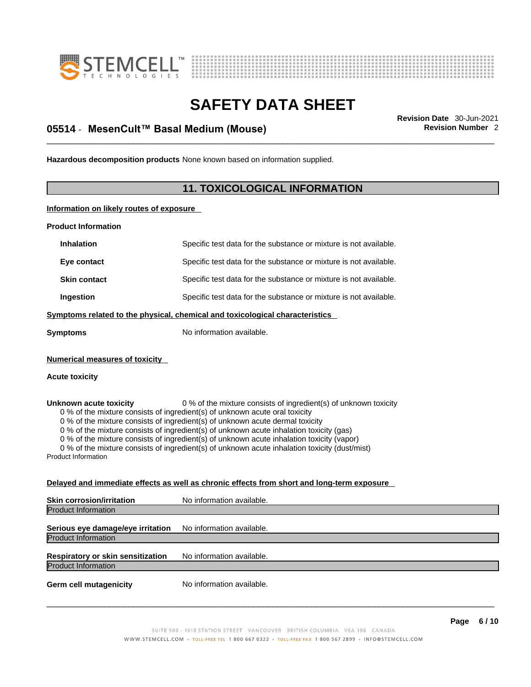



\_\_\_\_\_\_\_\_\_\_\_\_\_\_\_\_\_\_\_\_\_\_\_\_\_\_\_\_\_\_\_\_\_\_\_\_\_\_\_\_\_\_\_\_\_\_\_\_\_\_\_\_\_\_\_\_\_\_\_\_\_\_\_\_\_\_\_\_\_\_\_\_\_\_\_\_\_\_\_\_\_\_\_\_\_\_\_\_\_\_\_\_\_ **Revision Date** 30-Jun-2021 **05514** - **MesenCult™ Basal Medium (Mouse) Revision Number** 2

**Hazardous decomposition products** None known based on information supplied.

### **11. TOXICOLOGICAL INFORMATION**

**Information on likely routes of exposure**

**Product Information**

| <b>Inhalation</b>                                              | Specific test data for the substance or mixture is not available.                                                                                                                                                                                                                                                                                                                                                                                                                                                         |
|----------------------------------------------------------------|---------------------------------------------------------------------------------------------------------------------------------------------------------------------------------------------------------------------------------------------------------------------------------------------------------------------------------------------------------------------------------------------------------------------------------------------------------------------------------------------------------------------------|
| Eye contact                                                    | Specific test data for the substance or mixture is not available.                                                                                                                                                                                                                                                                                                                                                                                                                                                         |
| <b>Skin contact</b>                                            | Specific test data for the substance or mixture is not available.                                                                                                                                                                                                                                                                                                                                                                                                                                                         |
| Ingestion                                                      | Specific test data for the substance or mixture is not available.                                                                                                                                                                                                                                                                                                                                                                                                                                                         |
|                                                                | Symptoms related to the physical, chemical and toxicological characteristics                                                                                                                                                                                                                                                                                                                                                                                                                                              |
| Symptoms                                                       | No information available.                                                                                                                                                                                                                                                                                                                                                                                                                                                                                                 |
| <b>Numerical measures of toxicity</b><br><b>Acute toxicity</b> |                                                                                                                                                                                                                                                                                                                                                                                                                                                                                                                           |
| Unknown acute toxicity<br><b>Product Information</b>           | 0 % of the mixture consists of ingredient(s) of unknown toxicity<br>0 % of the mixture consists of ingredient(s) of unknown acute oral toxicity<br>0 % of the mixture consists of ingredient(s) of unknown acute dermal toxicity<br>0 % of the mixture consists of ingredient(s) of unknown acute inhalation toxicity (gas)<br>0 % of the mixture consists of ingredient(s) of unknown acute inhalation toxicity (vapor)<br>0 % of the mixture consists of ingredient(s) of unknown acute inhalation toxicity (dust/mist) |
|                                                                | <u>Delayed and immediate effects as well as chronic effects from short and long-term exposure</u>                                                                                                                                                                                                                                                                                                                                                                                                                         |
| Skin corrosion/irritation                                      | No information available.                                                                                                                                                                                                                                                                                                                                                                                                                                                                                                 |
| <b>Product Information</b>                                     |                                                                                                                                                                                                                                                                                                                                                                                                                                                                                                                           |

**Serious eye damage/eye irritation** No information available. Product Information

**Respiratory or skin sensitization** No information available. Product Information

**Germ cell mutagenicity** No information available.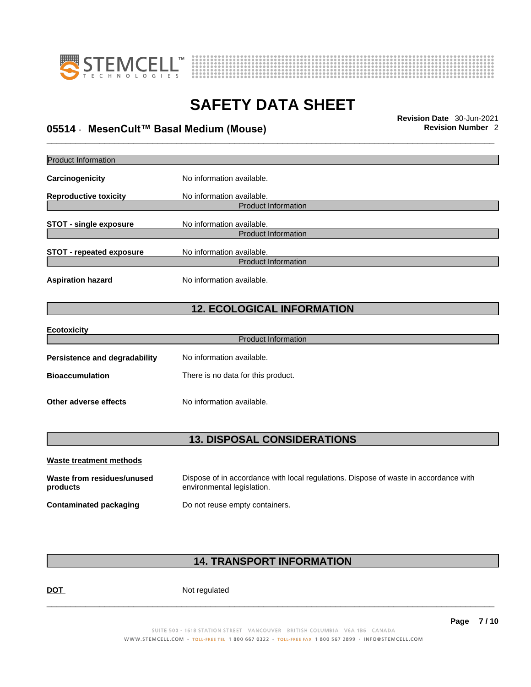



# \_\_\_\_\_\_\_\_\_\_\_\_\_\_\_\_\_\_\_\_\_\_\_\_\_\_\_\_\_\_\_\_\_\_\_\_\_\_\_\_\_\_\_\_\_\_\_\_\_\_\_\_\_\_\_\_\_\_\_\_\_\_\_\_\_\_\_\_\_\_\_\_\_\_\_\_\_\_\_\_\_\_\_\_\_\_\_\_\_\_\_\_\_ **Revision Date** 30-Jun-2021 **05514** - **MesenCult™ Basal Medium (Mouse) Revision Number** 2

| <b>Product Information</b>             |                                                                                                                    |
|----------------------------------------|--------------------------------------------------------------------------------------------------------------------|
| Carcinogenicity                        | No information available.                                                                                          |
| <b>Reproductive toxicity</b>           | No information available.<br><b>Product Information</b>                                                            |
| <b>STOT - single exposure</b>          | No information available.<br><b>Product Information</b>                                                            |
| <b>STOT - repeated exposure</b>        | No information available.<br><b>Product Information</b>                                                            |
| <b>Aspiration hazard</b>               | No information available.                                                                                          |
|                                        | <b>12. ECOLOGICAL INFORMATION</b>                                                                                  |
| <b>Ecotoxicity</b>                     |                                                                                                                    |
|                                        | <b>Product Information</b>                                                                                         |
| Persistence and degradability          | No information available.                                                                                          |
| <b>Bioaccumulation</b>                 | There is no data for this product.                                                                                 |
| Other adverse effects                  | No information available.                                                                                          |
|                                        |                                                                                                                    |
|                                        | <b>13. DISPOSAL CONSIDERATIONS</b>                                                                                 |
| <b>Waste treatment methods</b>         |                                                                                                                    |
| Waste from residues/unused<br>products | Dispose of in accordance with local regulations. Dispose of waste in accordance with<br>environmental legislation. |
| <b>Contaminated packaging</b>          | Do not reuse empty containers.                                                                                     |

### **14. TRANSPORT INFORMATION**

DOT Not regulated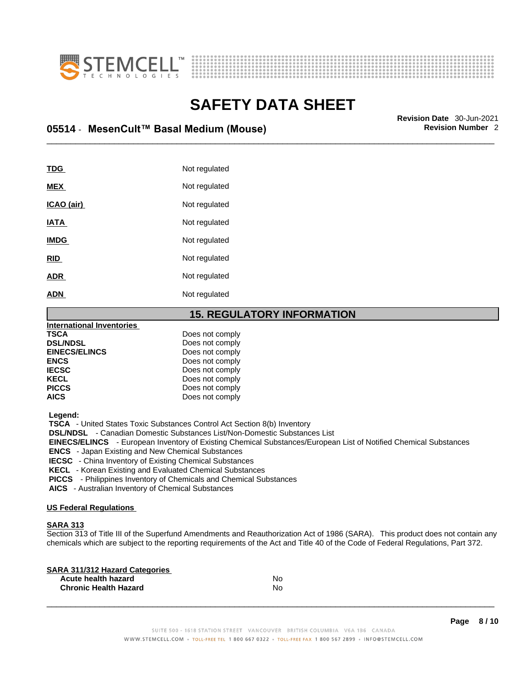



# \_\_\_\_\_\_\_\_\_\_\_\_\_\_\_\_\_\_\_\_\_\_\_\_\_\_\_\_\_\_\_\_\_\_\_\_\_\_\_\_\_\_\_\_\_\_\_\_\_\_\_\_\_\_\_\_\_\_\_\_\_\_\_\_\_\_\_\_\_\_\_\_\_\_\_\_\_\_\_\_\_\_\_\_\_\_\_\_\_\_\_\_\_ **Revision Date** 30-Jun-2021 **05514** - **MesenCult™ Basal Medium (Mouse) Revision Number** 2

| TDG         | Not regulated |
|-------------|---------------|
| <b>MEX</b>  | Not regulated |
| ICAO (air)  | Not regulated |
| <b>IATA</b> | Not regulated |
| <b>IMDG</b> | Not regulated |
| <b>RID</b>  | Not regulated |
| <b>ADR</b>  | Not regulated |
| <b>ADN</b>  | Not regulated |
|             |               |

### **15. REGULATORY INFORMATION**

| <b>International Inventories</b> |                 |  |
|----------------------------------|-----------------|--|
| <b>TSCA</b>                      | Does not comply |  |
| <b>DSL/NDSL</b>                  | Does not comply |  |
| <b>EINECS/ELINCS</b>             | Does not comply |  |
| <b>ENCS</b>                      | Does not comply |  |
| <b>IECSC</b>                     | Does not comply |  |
| <b>KECL</b>                      | Does not comply |  |
| <b>PICCS</b>                     | Does not comply |  |
| <b>AICS</b>                      | Does not comply |  |
|                                  |                 |  |

 **Legend:** 

 **TSCA** - United States Toxic Substances Control Act Section 8(b) Inventory

 **DSL/NDSL** - Canadian Domestic Substances List/Non-Domestic Substances List

 **EINECS/ELINCS** - European Inventory of Existing Chemical Substances/European List of Notified Chemical Substances

 **ENCS** - Japan Existing and New Chemical Substances

 **IECSC** - China Inventory of Existing Chemical Substances

 **KECL** - Korean Existing and Evaluated Chemical Substances

 **PICCS** - Philippines Inventory of Chemicals and Chemical Substances

 **AICS** - Australian Inventory of Chemical Substances

### **US Federal Regulations**

### **SARA 313**

Section 313 of Title III of the Superfund Amendments and Reauthorization Act of 1986 (SARA). This product does not contain any chemicals which are subject to the reporting requirements of the Act and Title 40 of the Code of Federal Regulations, Part 372.

| No |  |
|----|--|
| No |  |
|    |  |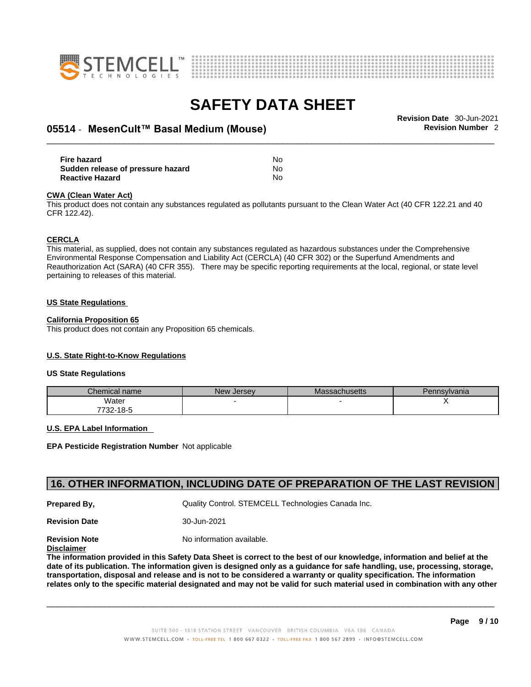



# \_\_\_\_\_\_\_\_\_\_\_\_\_\_\_\_\_\_\_\_\_\_\_\_\_\_\_\_\_\_\_\_\_\_\_\_\_\_\_\_\_\_\_\_\_\_\_\_\_\_\_\_\_\_\_\_\_\_\_\_\_\_\_\_\_\_\_\_\_\_\_\_\_\_\_\_\_\_\_\_\_\_\_\_\_\_\_\_\_\_\_\_\_ **Revision Date** 30-Jun-2021 **05514** - **MesenCult™ Basal Medium (Mouse) Revision Number** 2

| Fire hazard                       | No |  |
|-----------------------------------|----|--|
| Sudden release of pressure hazard | No |  |
| <b>Reactive Hazard</b>            | No |  |

#### **CWA** (Clean Water Act)

This product does not contain any substances regulated as pollutants pursuant to the Clean Water Act (40 CFR 122.21 and 40 CFR 122.42).

#### **CERCLA**

This material, as supplied, does not contain any substances regulated as hazardous substances under the Comprehensive Environmental Response Compensation and Liability Act (CERCLA) (40 CFR 302) or the Superfund Amendments and Reauthorization Act (SARA) (40 CFR 355). There may be specific reporting requirements at the local, regional, or state level pertaining to releases of this material.

#### **US State Regulations**

#### **California Proposition 65**

This product does not contain any Proposition 65 chemicals.

### **U.S. State Right-to-Know Regulations**

#### **US State Regulations**

| Chemical name | <b>New Jersey</b> | <b>Massachusetts</b> | Pennsylvania |
|---------------|-------------------|----------------------|--------------|
| Water         |                   |                      |              |
| 7732-18-5     |                   |                      |              |

#### **U.S. EPA Label Information**

**EPA Pesticide Registration Number** Not applicable

### **16. OTHER INFORMATION, INCLUDING DATE OF PREPARATION OF THE LAST REVISION**

**Prepared By, State Control. STEMCELL Technologies Canada Inc.** Cuality Control. STEMCELL Technologies Canada Inc.

**Revision Date** 30-Jun-2021

**Revision Note** Noinformation available.

### **Disclaimer**

The information provided in this Safety Data Sheet is correct to the best of our knowledge, information and belief at the date of its publication. The information given is designed only as a guidance for safe handling, use, processing, storage, transportation, disposal and release and is not to be considered a warranty or quality specification. The information relates only to the specific material designated and may not be valid for such material used in combination with any other